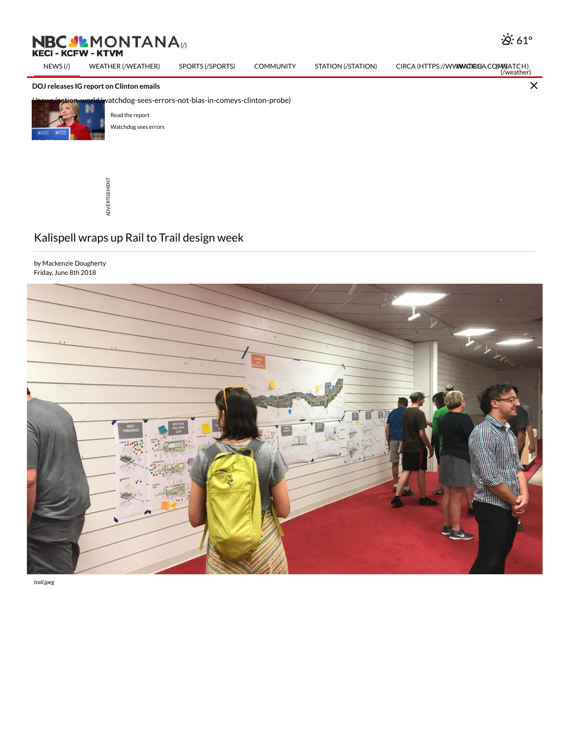## **KECI - KCFW**

[NEWS](http://nbcmontana.com/) (/) WEATHER [\(/WEATHER\)](http://nbcmontana.com/weather) SPORTS [\(/SPORTS\)](http://nbcmontana.com/sports) COMMUNITY STATION [\(/STATION\)](http://nbcmontana.com/station) CIRCA (HTTPS://WW**WA.TIREA.**CO(MW)AT[CH\)](http://nbcmontana.com/watch)<br>(weather)

## DOJ releases IG report on Clinton emails



watchdog-sees-errors-not-bias-in-comeys-clinton-probe)

Read the [report](http://nbcmontana.com/news/nation-world/read-inspector-generals-report-on-fbi-clinton-probe) [Watchdog](http://nbcmontana.com/news/nation-world/watchdog-sees-errors-not-bias-in-comeys-clinton-probe) sees errors



## Kalispell wraps up Rail to Trail design week

by Mackenzie Dougherty Friday, June 8th 2018



trail.jpeg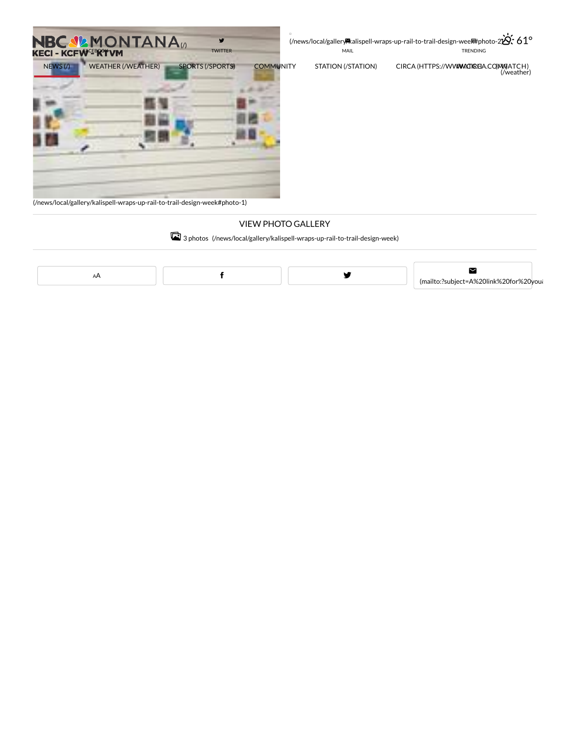



[\(/news/local/gallery/kalispell-wraps-up-rail-to-trail-design-week#photo-1\)](http://nbcmontana.com/news/local/gallery/kalispell-wraps-up-rail-to-trail-design-week#photo-1)

## VIEW PHOTO GALLERY

TRENDING

<sup>3</sup> photos [\(/news/local/gallery/kalispell-wraps-up-rail-to-trail-design-week\)](http://nbcmontana.com/news/local/gallery/kalispell-wraps-up-rail-to-trail-design-week)